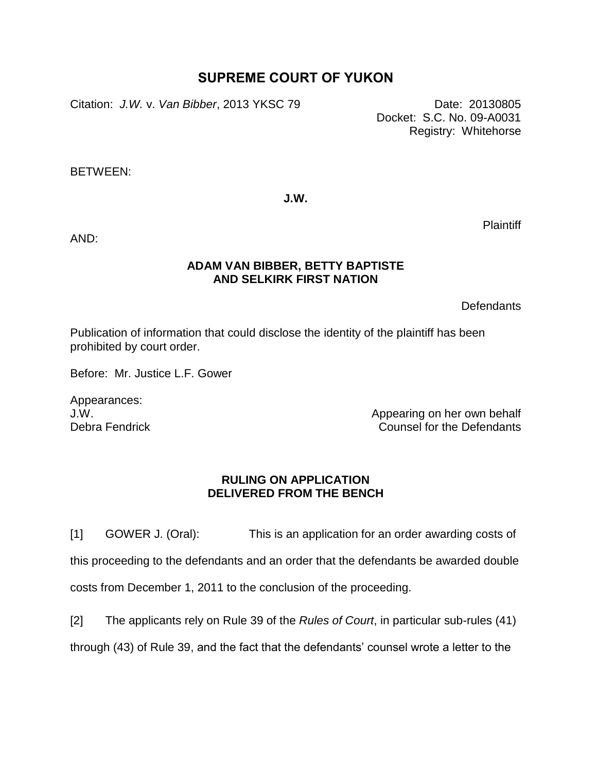## **SUPREME COURT OF YUKON**

Citation: *J.W.* v. *Van Bibber*, 2013 YKSC 79 Date: 20130805

Docket: S.C. No. 09-A0031 Registry: Whitehorse

BETWEEN:

**J.W.**

AND:

## **ADAM VAN BIBBER, BETTY BAPTISTE AND SELKIRK FIRST NATION**

**Defendants** 

Plaintiff

Publication of information that could disclose the identity of the plaintiff has been prohibited by court order.

Before: Mr. Justice L.F. Gower

Appearances: J.W. Debra Fendrick

Appearing on her own behalf Counsel for the Defendants

## **RULING ON APPLICATION DELIVERED FROM THE BENCH**

[1] GOWER J. (Oral): This is an application for an order awarding costs of this proceeding to the defendants and an order that the defendants be awarded double costs from December 1, 2011 to the conclusion of the proceeding.

[2] The applicants rely on Rule 39 of the *Rules of Court*, in particular sub-rules (41) through (43) of Rule 39, and the fact that the defendants' counsel wrote a letter to the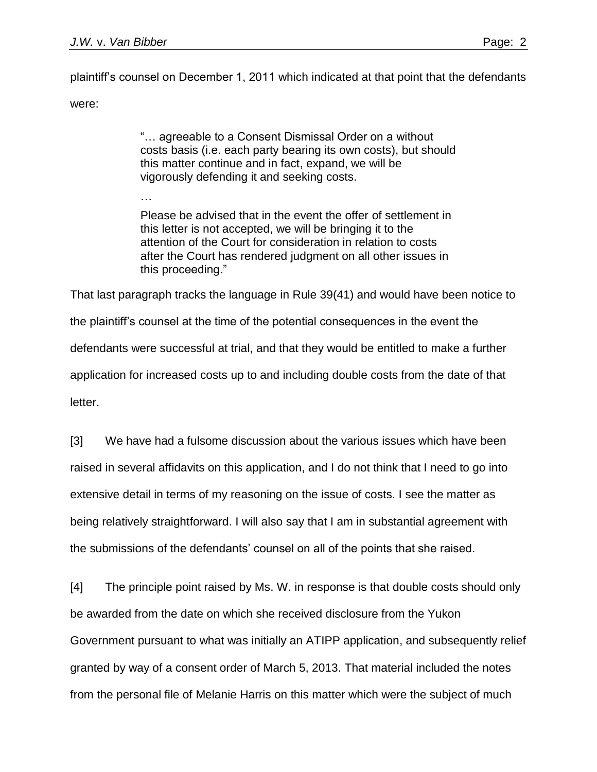…

plaintiff's counsel on December 1, 2011 which indicated at that point that the defendants were:

> "… agreeable to a Consent Dismissal Order on a without costs basis (i.e. each party bearing its own costs), but should this matter continue and in fact, expand, we will be vigorously defending it and seeking costs.

Please be advised that in the event the offer of settlement in this letter is not accepted, we will be bringing it to the attention of the Court for consideration in relation to costs after the Court has rendered judgment on all other issues in this proceeding."

That last paragraph tracks the language in Rule 39(41) and would have been notice to the plaintiff's counsel at the time of the potential consequences in the event the defendants were successful at trial, and that they would be entitled to make a further application for increased costs up to and including double costs from the date of that letter.

[3] We have had a fulsome discussion about the various issues which have been raised in several affidavits on this application, and I do not think that I need to go into extensive detail in terms of my reasoning on the issue of costs. I see the matter as being relatively straightforward. I will also say that I am in substantial agreement with the submissions of the defendants' counsel on all of the points that she raised.

[4] The principle point raised by Ms. W. in response is that double costs should only be awarded from the date on which she received disclosure from the Yukon Government pursuant to what was initially an ATIPP application, and subsequently relief granted by way of a consent order of March 5, 2013. That material included the notes from the personal file of Melanie Harris on this matter which were the subject of much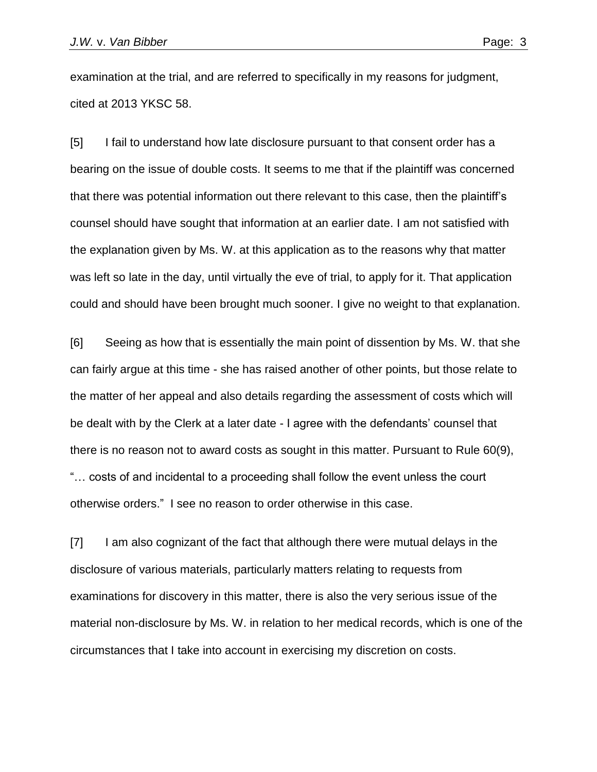examination at the trial, and are referred to specifically in my reasons for judgment, cited at 2013 YKSC 58.

[5] I fail to understand how late disclosure pursuant to that consent order has a bearing on the issue of double costs. It seems to me that if the plaintiff was concerned that there was potential information out there relevant to this case, then the plaintiff's counsel should have sought that information at an earlier date. I am not satisfied with the explanation given by Ms. W. at this application as to the reasons why that matter was left so late in the day, until virtually the eve of trial, to apply for it. That application could and should have been brought much sooner. I give no weight to that explanation.

[6] Seeing as how that is essentially the main point of dissention by Ms. W. that she can fairly argue at this time - she has raised another of other points, but those relate to the matter of her appeal and also details regarding the assessment of costs which will be dealt with by the Clerk at a later date - I agree with the defendants' counsel that there is no reason not to award costs as sought in this matter. Pursuant to Rule 60(9), "… costs of and incidental to a proceeding shall follow the event unless the court otherwise orders." I see no reason to order otherwise in this case.

[7] I am also cognizant of the fact that although there were mutual delays in the disclosure of various materials, particularly matters relating to requests from examinations for discovery in this matter, there is also the very serious issue of the material non-disclosure by Ms. W. in relation to her medical records, which is one of the circumstances that I take into account in exercising my discretion on costs.